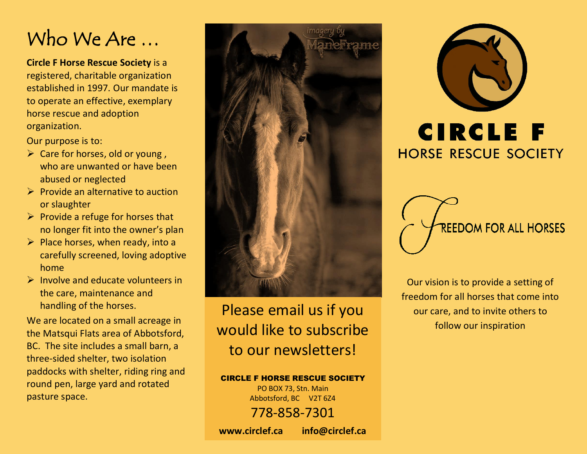# Who We Are …

**Circle F Horse Rescue Society** is a registered, charitable organization established in 1997. Our mandate is to operate an effective, exemplary horse rescue and adoption organization.

Our purpose is to:

- $\triangleright$  Care for horses, old or young, who are unwanted or have been abused or neglected
- $\triangleright$  Provide an alternative to auction or slaughter
- $\triangleright$  Provide a refuge for horses that no longer fit into the owner's plan
- $\triangleright$  Place horses, when ready, into a carefully screened, loving adoptive home
- $\triangleright$  Involve and educate volunteers in the care, maintenance and handling of the horses.

We are located on a small acreage in the Matsqui Flats area of Abbotsford, BC. The site includes a small barn, a three-sided shelter, two isolation paddocks with shelter, riding ring and round pen, large yard and rotated pasture space.



## Please email us if you would like to subscribe to our newsletters!

### CIRCLE F HORSE RESCUE SOCIETY

PO BOX 73, Stn. Main Abbotsford, BC V2T 6Z4 778-858-7301 **www.circlef.ca info@circlef.ca**



**HORSE RESCUE SOCIETY** 



Our vision is to provide a setting of freedom for all horses that come into our care, and to invite others to follow our inspiration